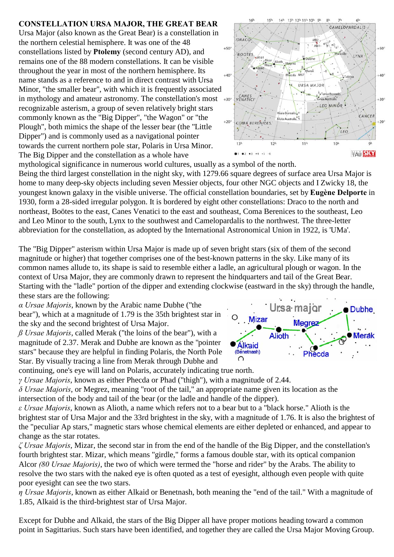## **CONSTELLATION URSA MAJOR, THE GREAT BEAR**

Ursa Major (also known as the Great Bear) is a constellation in the northern celestial hemisphere. It was one of the 48 constellations listed by **Ptolemy** (second century AD), and remains one of the 88 modern constellations. It can be visible throughout the year in most of the northern hemisphere. Its name stands as a reference to and in direct contrast with Ursa Minor, "the smaller bear", with which it is frequently associated in mythology and amateur astronomy. The constellation's most +30° recognizable asterism, a group of seven relatively bright stars commonly known as the "Big Dipper", "the Wagon" or "the Plough", both mimics the shape of the lesser bear (the "Little Dipper") and is commonly used as a navigational pointer towards the current northern pole star, Polaris in Ursa Minor. The Big Dipper and the constellation as a whole have



mythological significance in numerous world cultures, usually as a symbol of the north. Being the third largest constellation in the night sky, with 1279.66 square degrees of surface area Ursa Major is home to many deep-sky objects including seven Messier objects, four other NGC objects and I Zwicky 18, the youngest known galaxy in the visible universe. The official constellation boundaries, set by **Eugène Delporte** in 1930, form a 28-sided irregular polygon. It is bordered by eight other constellations: Draco to the north and northeast, Boötes to the east, Canes Venatici to the east and southeast, Coma Berenices to the southeast, Leo and Leo Minor to the south, Lynx to the southwest and Camelopardalis to the northwest. The three-letter abbreviation for the constellation, as adopted by the International Astronomical Union in 1922, is 'UMa'.

The "Big Dipper" asterism within Ursa Major is made up of seven bright stars (six of them of the second magnitude or higher) that together comprises one of the best-known patterns in the sky. Like many of its common names allude to, its shape is said to resemble either a ladle, an agricultural plough or wagon. In the context of Ursa Major, they are commonly drawn to represent the hindquarters and tail of the Great Bear. Starting with the "ladle" portion of the dipper and extending clockwise (eastward in the sky) through the handle, these stars are the following:

*á Ursae Majoris*, known by the Arabic name Dubhe ("the bear"), which at a magnitude of 1.79 is the 35th brightest star in the sky and the second brightest of Ursa Major.

*ß Ursae Majoris*, called Merak ("the loins of the bear"), with a magnitude of 2.37. Merak and Dubhe are known as the "pointer stars" because they are helpful in finding Polaris, the North Pole Star. By visually tracing a line from Merak through Dubhe and

continuing, one's eye will land on Polaris, accurately indicating true north.

*ã Ursae Majoris*, known as either Phecda or Phad ("thigh"), with a magnitude of 2.44.

*ä Ursae Majoris*, or Megrez, meaning "root of the tail," an appropriate name given its location as the intersection of the body and tail of the bear (or the ladle and handle of the dipper).

*å Ursae Majoris*, known as Alioth, a name which refers not to a bear but to a "black horse." Alioth is the brightest star of Ursa Major and the 33rd brightest in the sky, with a magnitude of 1.76. It is also the brightest of the "peculiar Ap stars," magnetic stars whose chemical elements are either depleted or enhanced, and appear to change as the star rotates.

*æ Ursae Majoris*, Mizar, the second star in from the end of the handle of the Big Dipper, and the constellation's fourth brightest star. Mizar, which means "girdle," forms a famous double star, with its optical companion Alcor *(80 Ursae Majoris)*, the two of which were termed the "horse and rider" by the Arabs. The ability to resolve the two stars with the naked eye is often quoted as a test of eyesight, although even people with quite poor eyesight can see the two stars.

*ç Ursae Majoris*, known as either Alkaid or Benetnash, both meaning the "end of the tail." With a magnitude of 1.85, Alkaid is the third-brightest star of Ursa Major.

Except for Dubhe and Alkaid, the stars of the Big Dipper all have proper motions heading toward a common point in Sagittarius. Such stars have been identified, and together they are called the Ursa Major Moving Group.